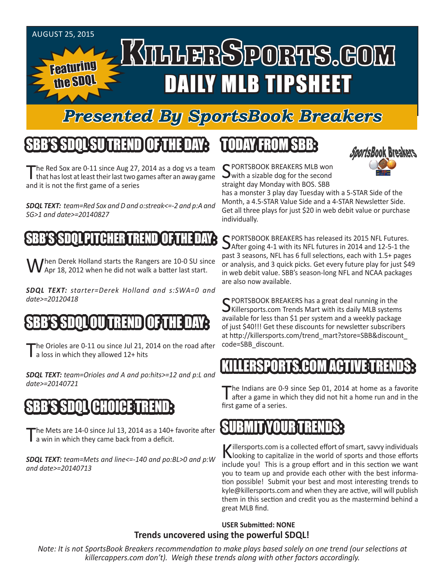

# *Presented By SportsBook Breakers*

## SBB'S SDQLSU TREND OF THE DAY:

The Red Sox are 0-11 since Aug 27, 2014 as a dog vs a team<br>that has lost at least their last two games after an away game and it is not the first game of a series

*SDQL TEXT: team=Red Sox and D and o:streak<=-2 and p:A and SG>1 and date>=20140827*

#### SSDOL PITCHER TREN

When Derek Holland starts the Rangers are 10-0 SU since<br>WApr 18, 2012 when he did not walk a batter last start.

*SDQL TEXT: starter=Derek Holland and s:SWA=0 and date>=20120418*

### SBB'S SDQL OU TREND OF THE DAY:

The Orioles are 0-11 ou since Jul 21, 2014 on the road after a loss in which they allowed 12+ hits

*SDQL TEXT: team=Orioles and A and po:hits>=12 and p:L and date>=20140721*

# SBB'S SDQL CHOICE TREND:

The Mets are 14-0 since Jul 13, 2014 as a 140+ favorite after<br>T a win in which they came back from a deficit.

*SDQL TEXT: team=Mets and line<=-140 and po:BL>0 and p:W and date>=20140713*

# TODAY FROM SBB:



C PORTSBOOK BREAKERS MLB won  $\sum$  with a sizable dog for the second straight day Monday with BOS. SBB

has a monster 3 play day Tuesday with a 5-STAR Side of the Month, a 4.5-STAR Value Side and a 4-STAR Newsletter Side. Get all three plays for just \$20 in web debit value or purchase individually.

C PORTSBOOK BREAKERS has released its 2015 NFL Futures. After going 4-1 with its NFL futures in 2014 and 12-5-1 the past 3 seasons, NFL has 6 full selections, each with 1.5+ pages or analysis, and 3 quick picks. Get every future play for just \$49 in web debit value. SBB's season-long NFL and NCAA packages are also now available.

SPORTSBOOK BREAKERS has a great deal running in the<br>SKillersports.com Trends Mart with its daily MLB systems available for less than \$1 per system and a weekly package of just \$40!!! Get these discounts for newsletter subscribers at http://killersports.com/trend\_mart?store=SBB&discount\_ code=SBB\_discount.

### KILLERSPORTS.COM ACTIVE T

The Indians are 0-9 since Sep 01, 2014 at home as a favorite after a game in which they did not hit a home run and in the first game of a series.

### SUBMIT YOUR TRENDS:

Killersports.com is a collected effort of smart, savvy individuals<br>Nooking to capitalize in the world of sports and those efforts include you! This is a group effort and in this section we want you to team up and provide each other with the best information possible! Submit your best and most interesting trends to kyle@killersports.com and when they are active, will will publish them in this section and credit you as the mastermind behind a great MLB find.

#### **USER Submitted: NONE Trends uncovered using the powerful SDQL!**

*Note: It is not SportsBook Breakers recommendation to make plays based solely on one trend (our selections at killercappers.com don't). Weigh these trends along with other factors accordingly.*